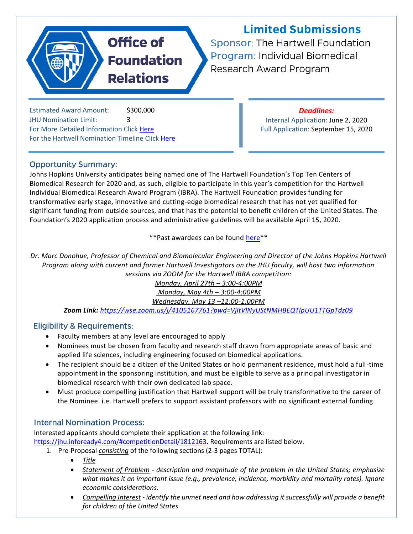# **Office of Foundation Relations**

**Limited Submissions** 

Sponsor: The Hartwell Foundation Program: Individual Biomedical Research Award Program

Estimated Award Amount: \$300,000 JHU Nomination Limit: 3 For More Detailed Information Clic[k Here](https://livejohnshopkins-my.sharepoint.com/:b:/g/personal/lreda1_jh_edu/EdUSB6B9pVpBhmibs24Q67kBAODBJWYEa7pMFuktaf88TA?e=dki1jB) For the Hartwell Nomination Timeline Click [Here](https://livejohnshopkins-my.sharepoint.com/:b:/g/personal/lreda1_jh_edu/EZgbp66e1gxGreqd-pva4MgBpEHzHo0Yq2qkLnatC2kIhQ?e=sh3E4C)

#### *Deadlines:*

Internal Application: June 2, 2020 Full Application: September 15, 2020

### **Opportunity Summary:**

Johns Hopkins University anticipates being named one of The Hartwell Foundation's Top Ten Centers of Biomedical Research for 2020 and, as such, eligible to participate in this year's competition for the Hartwell Individual Biomedical Research Award Program (IBRA). The Hartwell Foundation provides funding for transformative early stage, innovative and cutting-edge biomedical research that has not yet qualified for significant funding from outside sources, and that has the potential to benefit children of the United States. The Foundation's 2020 application process and administrative guidelines will be available April 15, 2020.

\*\*Past awardees can be found [here\\*](http://thehartwellfoundation.com/Individual_Biomedical_Research_Awards.shtml)\*

*Dr. Marc Donohue, Professor of Chemical and Biomolecular Engineering and Director of the Johns Hopkins Hartwell Program along with current and former Hartwell Investigators on the JHU faculty, will host two information sessions via ZOOM for the Hartwell IBRA competition:*

*Monday, April 27th – 3:00-4:00PM*

*Monday, May 4th – 3:00-4:00PM*

*Wednesday, May 13 –12:00-1:00PM*

*Zoom Link: <https://wse.zoom.us/j/4105167761?pwd=VjltVlNyUStNMHBEQTlpUU1TTGpTdz09>*

#### **Eligibility & Requirements:**

- Faculty members at any level are encouraged to apply
- Nominees must be chosen from faculty and research staff drawn from appropriate areas of basic and applied life sciences, including engineering focused on biomedical applications.
- The recipient should be a citizen of the United States or hold permanent residence, must hold a full-time appointment in the sponsoring institution, and must be eligible to serve as a principal investigator in biomedical research with their own dedicated lab space.
- Must produce compelling justification that Hartwell support will be truly transformative to the career of the Nominee. i.e. Hartwell prefers to support assistant professors with no significant external funding.

#### **Internal Nomination Process:**

Interested applicants should complete their application at the following link: [https://jhu.infoready4.com/#competitionDetail/1812163.](https://jhu.infoready4.com/#competitionDetail/1812163) Requirements are listed below.

- 1. Pre-Proposal *consisting* of the following sections (2-3 pages TOTAL):
	- *Title*
	- *Statement of Problem description and magnitude of the problem in the United States; emphasize what makes it an important issue (e.g., prevalence, incidence, morbidity and mortality rates). Ignore economic considerations.*
	- *Compelling Interest - identify the unmet need and how addressing it successfully will provide a benefit for children of the United States.*